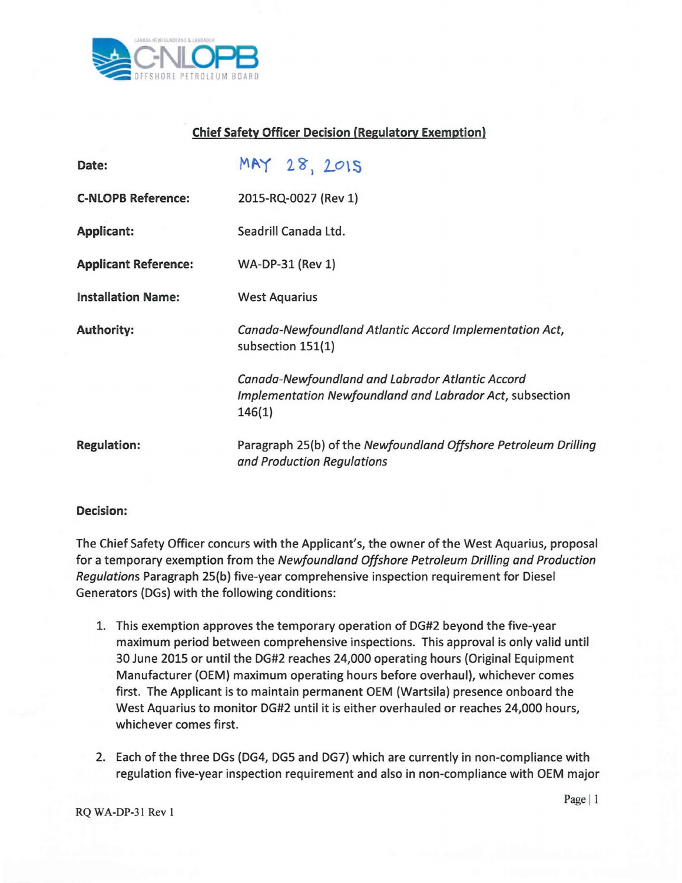

## Chief Safety Officer Decision (Regulatory Exemption)

| Date:                       | MAY 28, 2015                                                                                                           |
|-----------------------------|------------------------------------------------------------------------------------------------------------------------|
| <b>C-NLOPB Reference:</b>   | 2015-RQ-0027 (Rev 1)                                                                                                   |
| <b>Applicant:</b>           | Seadrill Canada Ltd.                                                                                                   |
| <b>Applicant Reference:</b> | WA-DP-31 (Rev 1)                                                                                                       |
| <b>Installation Name:</b>   | <b>West Aquarius</b>                                                                                                   |
| <b>Authority:</b>           | Canada-Newfoundland Atlantic Accord Implementation Act,<br>subsection 151(1)                                           |
|                             | Canada-Newfoundland and Labrador Atlantic Accord<br>Implementation Newfoundland and Labrador Act, subsection<br>146(1) |
| <b>Regulation:</b>          | Paragraph 25(b) of the Newfoundland Offshore Petroleum Drilling<br>and Production Regulations                          |

## Decision:

The Chief Safety Officer concurs with the Applicant's, the owner of the West Aquarius, proposal for a temporary exemption from the *Newfoundland Offshore Petroleum Drilling and Praduction Regulations* Paragraph 25(b) five-year comprehensive inspection requirement for Diesel Generators (DGs) with the following conditions:

- 1. This exemption approves the temporary operation of DG#2 beyond the five-year maximum period between comprehensive inspections. This approval is only valid until 30 June 2015 or until the DG#2 reaches 24,000 operating hours (Original Equipment Manufacturer (OEM) maximum operating hours before overhaul), whichever comes first. The Applicant is to maintain permanent OEM (Wartsila) presence onboard the West Aquarius to monitor DG#2 until it is either overhauled or reaches 24,000 hours, whichever comes first.
- 2. Each of the three DGs (DG4, DG5 and DG7) which are currently in non-compliance with regulation five-year inspection requirement and also in non-compliance with OEM major